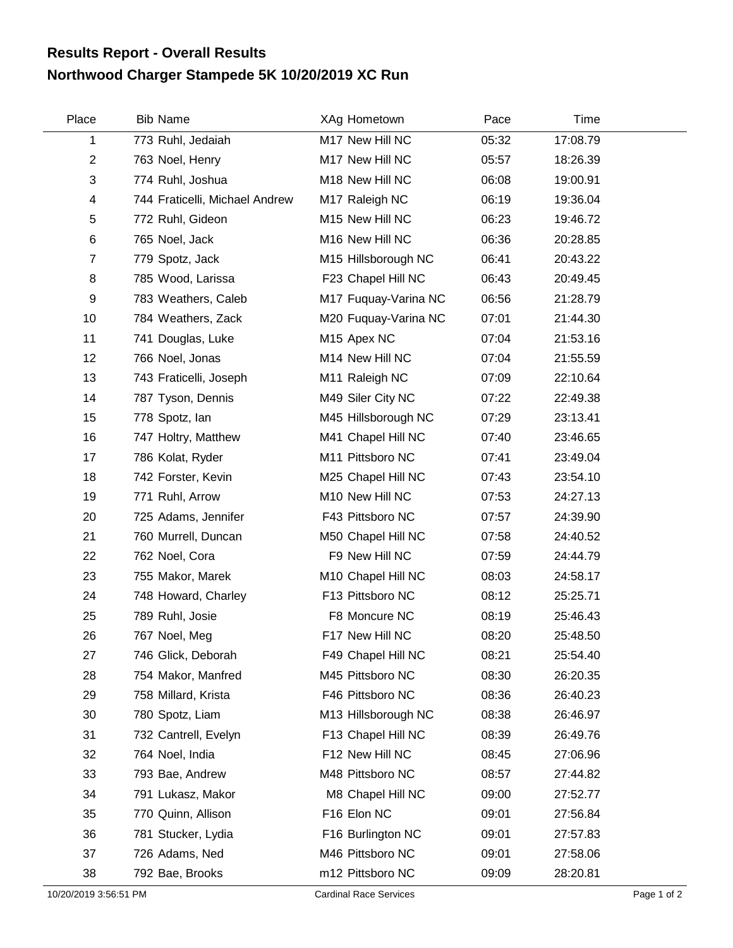## **Northwood Charger Stampede 5K 10/20/2019 XC Run Results Report - Overall Results**

| Place          | <b>Bib Name</b>                | XAg Hometown            | Pace  | Time     |  |
|----------------|--------------------------------|-------------------------|-------|----------|--|
| 1              | 773 Ruhl, Jedaiah              | M17 New Hill NC         | 05:32 | 17:08.79 |  |
| $\overline{2}$ | 763 Noel, Henry                | M17 New Hill NC         | 05:57 | 18:26.39 |  |
| 3              | 774 Ruhl, Joshua               | M18 New Hill NC         | 06:08 | 19:00.91 |  |
| 4              | 744 Fraticelli, Michael Andrew | M17 Raleigh NC          | 06:19 | 19:36.04 |  |
| 5              | 772 Ruhl, Gideon               | M15 New Hill NC         | 06:23 | 19:46.72 |  |
| $\,6$          | 765 Noel, Jack                 | M16 New Hill NC         | 06:36 | 20:28.85 |  |
| $\overline{7}$ | 779 Spotz, Jack                | M15 Hillsborough NC     | 06:41 | 20:43.22 |  |
| 8              | 785 Wood, Larissa              | F23 Chapel Hill NC      | 06:43 | 20:49.45 |  |
| 9              | 783 Weathers, Caleb            | M17 Fuquay-Varina NC    | 06:56 | 21:28.79 |  |
| 10             | 784 Weathers, Zack             | M20 Fuquay-Varina NC    | 07:01 | 21:44.30 |  |
| 11             | 741 Douglas, Luke              | M <sub>15</sub> Apex NC | 07:04 | 21:53.16 |  |
| 12             | 766 Noel, Jonas                | M14 New Hill NC         | 07:04 | 21:55.59 |  |
| 13             | 743 Fraticelli, Joseph         | M11 Raleigh NC          | 07:09 | 22:10.64 |  |
| 14             | 787 Tyson, Dennis              | M49 Siler City NC       | 07:22 | 22:49.38 |  |
| 15             | 778 Spotz, lan                 | M45 Hillsborough NC     | 07:29 | 23:13.41 |  |
| 16             | 747 Holtry, Matthew            | M41 Chapel Hill NC      | 07:40 | 23:46.65 |  |
| 17             | 786 Kolat, Ryder               | M11 Pittsboro NC        | 07:41 | 23:49.04 |  |
| 18             | 742 Forster, Kevin             | M25 Chapel Hill NC      | 07:43 | 23:54.10 |  |
| 19             | 771 Ruhl, Arrow                | M10 New Hill NC         | 07:53 | 24:27.13 |  |
| 20             | 725 Adams, Jennifer            | F43 Pittsboro NC        | 07:57 | 24:39.90 |  |
| 21             | 760 Murrell, Duncan            | M50 Chapel Hill NC      | 07:58 | 24:40.52 |  |
| 22             | 762 Noel, Cora                 | F9 New Hill NC          | 07:59 | 24:44.79 |  |
| 23             | 755 Makor, Marek               | M10 Chapel Hill NC      | 08:03 | 24:58.17 |  |
| 24             | 748 Howard, Charley            | F13 Pittsboro NC        | 08:12 | 25:25.71 |  |
| 25             | 789 Ruhl, Josie                | F8 Moncure NC           | 08:19 | 25:46.43 |  |
| 26             | 767 Noel, Meg                  | F17 New Hill NC         | 08:20 | 25:48.50 |  |
| 27             | 746 Glick, Deborah             | F49 Chapel Hill NC      | 08:21 | 25:54.40 |  |
| 28             | 754 Makor, Manfred             | M45 Pittsboro NC        | 08:30 | 26:20.35 |  |
| 29             | 758 Millard, Krista            | F46 Pittsboro NC        | 08:36 | 26:40.23 |  |
| 30             | 780 Spotz, Liam                | M13 Hillsborough NC     | 08:38 | 26:46.97 |  |
| 31             | 732 Cantrell, Evelyn           | F13 Chapel Hill NC      | 08:39 | 26:49.76 |  |
| 32             | 764 Noel, India                | F12 New Hill NC         | 08:45 | 27:06.96 |  |
| 33             | 793 Bae, Andrew                | M48 Pittsboro NC        | 08:57 | 27:44.82 |  |
| 34             | 791 Lukasz, Makor              | M8 Chapel Hill NC       | 09:00 | 27:52.77 |  |
| 35             | 770 Quinn, Allison             | F16 Elon NC             | 09:01 | 27:56.84 |  |
| 36             | 781 Stucker, Lydia             | F16 Burlington NC       | 09:01 | 27:57.83 |  |
| 37             | 726 Adams, Ned                 | M46 Pittsboro NC        | 09:01 | 27:58.06 |  |
| 38             | 792 Bae, Brooks                | m12 Pittsboro NC        | 09:09 | 28:20.81 |  |